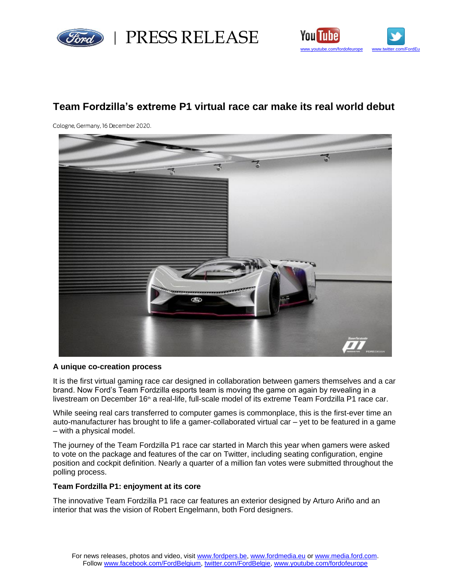



# **Team Fordzilla's extreme P1 virtual race car make its real world debut**

Cologne, Germany, 16 December 2020.



#### **A unique co-creation process**

It is the first virtual gaming race car designed in collaboration between gamers themselves and a car brand. Now Ford's Team Fordzilla esports team is moving the game on again by revealing in a livestream on December 16<sup>th</sup> a real-life, full-scale model of its extreme Team Fordzilla P1 race car.

While seeing real cars transferred to computer games is commonplace, this is the first-ever time an auto-manufacturer has brought to life a gamer-collaborated virtual car – yet to be featured in a game – with a physical model.

The journey of the Team Fordzilla P1 race car started in March this year when gamers were asked to vote on the package and features of the car on Twitter, including seating configuration, engine position and cockpit definition. Nearly a quarter of a million fan votes were submitted throughout the polling process.

## **Team Fordzilla P1: enjoyment at its core**

The innovative Team Fordzilla P1 race car features an exterior designed by Arturo Ariño and an interior that was the vision of Robert Engelmann, both Ford designers.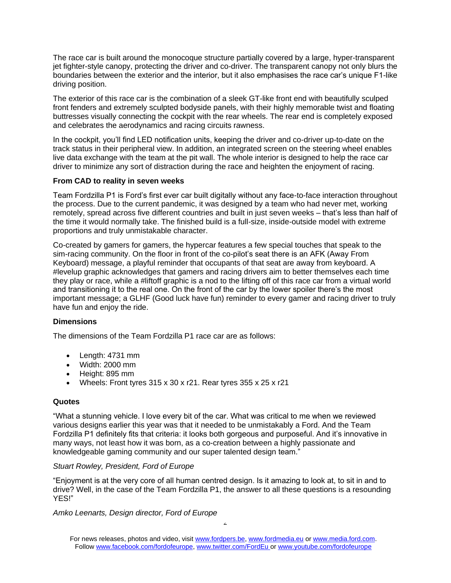The race car is built around the monocoque structure partially covered by a large, hyper-transparent jet fighter-style canopy, protecting the driver and co-driver. The transparent canopy not only blurs the boundaries between the exterior and the interior, but it also emphasises the race car's unique F1-like driving position.

The exterior of this race car is the combination of a sleek GT-like front end with beautifully sculped front fenders and extremely sculpted bodyside panels, with their highly memorable twist and floating buttresses visually connecting the cockpit with the rear wheels. The rear end is completely exposed and celebrates the aerodynamics and racing circuits rawness.

In the cockpit, you'll find LED notification units, keeping the driver and co-driver up-to-date on the track status in their peripheral view. In addition, an integrated screen on the steering wheel enables live data exchange with the team at the pit wall. The whole interior is designed to help the race car driver to minimize any sort of distraction during the race and heighten the enjoyment of racing.

# **From CAD to reality in seven weeks**

Team Fordzilla P1 is Ford's first ever car built digitally without any face-to-face interaction throughout the process. Due to the current pandemic, it was designed by a team who had never met, working remotely, spread across five different countries and built in just seven weeks – that's less than half of the time it would normally take. The finished build is a full-size, inside-outside model with extreme proportions and truly unmistakable character.

Co-created by gamers for gamers, the hypercar features a few special touches that speak to the sim-racing community. On the floor in front of the co-pilot's seat there is an AFK (Away From Keyboard) message, a playful reminder that occupants of that seat are away from keyboard. A #levelup graphic acknowledges that gamers and racing drivers aim to better themselves each time they play or race, while a #liftoff graphic is a nod to the lifting off of this race car from a virtual world and transitioning it to the real one. On the front of the car by the lower spoiler there's the most important message; a GLHF (Good luck have fun) reminder to every gamer and racing driver to truly have fun and enjoy the ride.

# **Dimensions**

The dimensions of the Team Fordzilla P1 race car are as follows:

- Length: 4731 mm
- Width: 2000 mm
- Height: 895 mm
- Wheels: Front tyres 315 x 30 x r21. Rear tyres 355 x 25 x r21

#### **Quotes**

"What a stunning vehicle. I love every bit of the car. What was critical to me when we reviewed various designs earlier this year was that it needed to be unmistakably a Ford. And the Team Fordzilla P1 definitely fits that criteria: it looks both gorgeous and purposeful. And it's innovative in many ways, not least how it was born, as a co-creation between a highly passionate and knowledgeable gaming community and our super talented design team."

# *Stuart Rowley, President, Ford of Europe*

"Enjoyment is at the very core of all human centred design. Is it amazing to look at, to sit in and to drive? Well, in the case of the Team Fordzilla P1, the answer to all these questions is a resounding YES!"

#### *Amko Leenarts, Design director, Ford of Europe*

2